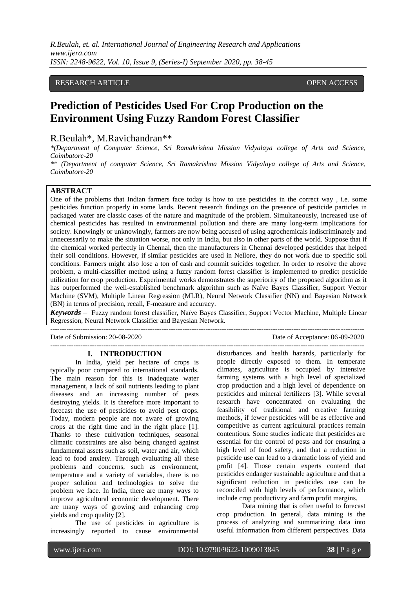# RESEARCH ARTICLE **CONSERVERS** OPEN ACCESS

# **Prediction of Pesticides Used For Crop Production on the Environment Using Fuzzy Random Forest Classifier**

# R.Beulah\*, M.Ravichandran\*\*

*\*(Department of Computer Science, Sri Ramakrishna Mission Vidyalaya college of Arts and Science, Coimbatore-20*

*\*\* (Department of computer Science, Sri Ramakrishna Mission Vidyalaya college of Arts and Science, Coimbatore-20*

# **ABSTRACT**

One of the problems that Indian farmers face today is how to use pesticides in the correct way , i.e. some pesticides function properly in some lands. Recent research findings on the presence of pesticide particles in packaged water are classic cases of the nature and magnitude of the problem. Simultaneously, increased use of chemical pesticides has resulted in environmental pollution and there are many long-term implications for society. Knowingly or unknowingly, farmers are now being accused of using agrochemicals indiscriminately and unnecessarily to make the situation worse, not only in India, but also in other parts of the world. Suppose that if the chemical worked perfectly in Chennai, then the manufacturers in Chennai developed pesticides that helped their soil conditions. However, if similar pesticides are used in Nellore, they do not work due to specific soil conditions. Farmers might also lose a ton of cash and commit suicides together. In order to resolve the above problem, a multi-classifier method using a fuzzy random forest classifier is implemented to predict pesticide utilization for crop production. Experimental works demonstrates the superiority of the proposed algorithm as it has outperformed the well-established benchmark algorithm such as Naïve Bayes Classifier, Support Vector Machine (SVM), Multiple Linear Regression (MLR), Neural Network Classifier (NN) and Bayesian Network (BN) in terms of precision, recall, F-measure and accuracy.

*Keywords* **–** Fuzzy random forest classifier, Naïve Bayes Classifier, Support Vector Machine, Multiple Linear Regression, Neural Network Classifier and Bayesian Network.

Date of Submission: 20-08-2020 Date of Acceptance: 06-09-2020

---------------------------------------------------------------------------------------------------------------------------------------

---------------------------------------------------------------------------------------------------------------------------------------

# **I. INTRODUCTION**

In India, yield per hectare of crops is typically poor compared to international standards. The main reason for this is inadequate water management, a lack of soil nutrients leading to plant diseases and an increasing number of pests destroying yields. It is therefore more important to forecast the use of pesticides to avoid pest crops. Today, modern people are not aware of growing crops at the right time and in the right place [1]. Thanks to these cultivation techniques, seasonal climatic constraints are also being changed against fundamental assets such as soil, water and air, which lead to food anxiety. Through evaluating all these problems and concerns, such as environment, temperature and a variety of variables, there is no proper solution and technologies to solve the problem we face. In India, there are many ways to improve agricultural economic development. There are many ways of growing and enhancing crop yields and crop quality [2].

The use of pesticides in agriculture is increasingly reported to cause environmental

disturbances and health hazards, particularly for people directly exposed to them. In temperate climates, agriculture is occupied by intensive farming systems with a high level of specialized crop production and a high level of dependence on pesticides and mineral fertilizers [3]. While several research have concentrated on evaluating the feasibility of traditional and creative farming methods, if fewer pesticides will be as effective and competitive as current agricultural practices remain contentious. Some studies indicate that pesticides are essential for the control of pests and for ensuring a high level of food safety, and that a reduction in pesticide use can lead to a dramatic loss of yield and profit [4]. Those certain experts contend that pesticides endanger sustainable agriculture and that a significant reduction in pesticides use can be reconciled with high levels of performance, which include crop productivity and farm profit margins.

Data mining that is often useful to forecast crop production. In general, data mining is the process of analyzing and summarizing data into useful information from different perspectives. Data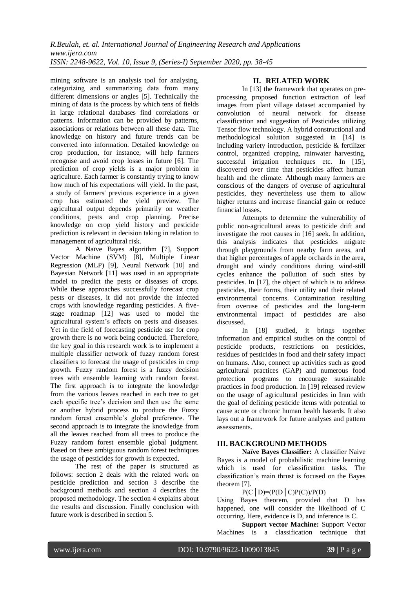mining software is an analysis tool for analysing, categorizing and summarizing data from many different dimensions or angles [5]. Technically the mining of data is the process by which tens of fields in large relational databases find correlations or patterns. Information can be provided by patterns, associations or relations between all these data. The knowledge on history and future trends can be converted into information. Detailed knowledge on crop production, for instance, will help farmers recognise and avoid crop losses in future [6]. The prediction of crop yields is a major problem in agriculture. Each farmer is constantly trying to know how much of his expectations will yield. In the past, a study of farmers' previous experience in a given crop has estimated the yield preview. The agricultural output depends primarily on weather conditions, pests and crop planning. Precise knowledge on crop yield history and pesticide prediction is relevant in decision taking in relation to management of agricultural risk.

A Naïve Bayes algorithm [7], Support Vector Machine (SVM) [8], Multiple Linear Regression (MLP) [9], Neural Network [10] and Bayesian Network [11] was used in an appropriate model to predict the pests or diseases of crops. While these approaches successfully forecast crop pests or diseases, it did not provide the infected crops with knowledge regarding pesticides. A fivestage roadmap [12] was used to model the agricultural system's effects on pests and diseases. Yet in the field of forecasting pesticide use for crop growth there is no work being conducted. Therefore, the key goal in this research work is to implement a multiple classifier network of fuzzy random forest classifiers to forecast the usage of pesticides in crop growth. Fuzzy random forest is a fuzzy decision trees with ensemble learning with random forest. The first approach is to integrate the knowledge from the various leaves reached in each tree to get each specific tree's decision and then use the same or another hybrid process to produce the Fuzzy random forest ensemble's global preference. The second approach is to integrate the knowledge from all the leaves reached from all trees to produce the Fuzzy random forest ensemble global judgment. Based on these ambiguous random forest techniques the usage of pesticides for growth is expected.

The rest of the paper is structured as follows: section 2 deals with the related work on pesticide prediction and section 3 describe the background methods and section 4 describes the proposed methodology. The section 4 explains about the results and discussion. Finally conclusion with future work is described in section 5.

# **II. RELATED WORK**

In [13] the framework that operates on preprocessing proposed function extraction of leaf images from plant village dataset accompanied by convolution of neural network for disease classification and suggestion of Pesticides utilizing Tensor flow technology. A hybrid constructional and methodological solution suggested in [14] is including variety introduction, pesticide & fertilizer control, organized cropping, rainwater harvesting, successful irrigation techniques etc. In [15], discovered over time that pesticides affect human health and the climate. Although many farmers are conscious of the dangers of overuse of agricultural pesticides, they nevertheless use them to allow higher returns and increase financial gain or reduce financial losses.

Attempts to determine the vulnerability of public non-agricultural areas to pesticide drift and investigate the root causes in [16] seek. In addition, this analysis indicates that pesticides migrate through playgrounds from nearby farm areas, and that higher percentages of apple orchards in the area, drought and windy conditions during wind-still cycles enhance the pollution of such sites by pesticides. In [17], the object of which is to address pesticides, their forms, their utility and their related environmental concerns. Contamination resulting from overuse of pesticides and the long-term environmental impact of pesticides are also discussed.

In [18] studied, it brings together information and empirical studies on the control of pesticide products, restrictions on pesticides, residues of pesticides in food and their safety impact on humans. Also, connect up activities such as good agricultural practices (GAP) and numerous food protection programs to encourage sustainable practices in food production. In [19] released review on the usage of agricultural pesticides in Iran with the goal of defining pesticide items with potential to cause acute or chronic human health hazards. It also lays out a framework for future analyses and pattern assessments.

# **III. BACKGROUND METHODS**

**Naïve Bayes Classifier:** A classifier Naive Bayes is a model of probabilistic machine learning which is used for classification tasks. The classification's main thrust is focused on the Bayes theorem [7].

# $P(C | D) = (P(D | C)P(C))/P(D)$

Using Bayes theorem, provided that D has happened, one will consider the likelihood of C occurring. Here, evidence is D, and inference is C.

**Support vector Machine:** Support Vector Machines is a classification technique that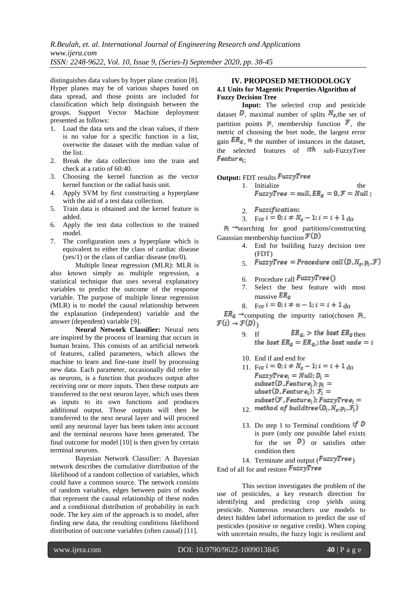distinguishes data values by hyper plane creation [8]. Hyper planes may be of various shapes based on data spread, and those points are included for classification which help distinguish between the groups. Support Vector Machine deployment presented as follows:

- 1. Load the data sets and the clean values, if there is no value for a specific function in a list, overwrite the dataset with the median value of the list.
- 2. Break the data collection into the train and check at a ratio of 60:40.
- 3. Choosing the kernel function as the vector kernel function or the radial basis unit.
- 4. Apply SVM by first constructing a hyperplane with the aid of a test data collection.
- 5. Train data is obtained and the kernel feature is added.
- 6. Apply the test data collection to the trained model.
- 7. The configuration uses a hyperplane which is equivalent to either the class of cardiac disease (yes/1) or the class of cardiac disease (no/0).

Multiple linear regression (MLR): MLR is also known simply as multiple regression, a statistical technique that uses several explanatory variables to predict the outcome of the response variable. The purpose of multiple linear regression (MLR) is to model the causal relationship between the explanation (independent) variable and the answer (dependent) variable [9].

**Neural Network Classifier:** Neural nets are inspired by the process of learning that occurs in human brains. This consists of an artificial network of features, called parameters, which allows the machine to learn and fine-tune itself by processing new data. Each parameter, occasionally did refer to as neurons, is a function that produces output after receiving one or more inputs. Then these outputs are transferred to the next neuron layer, which uses them as inputs to its own functions and produces additional output. Those outputs will then be transferred to the next neural layer and will proceed until any neuronal layer has been taken into account and the terminal neurons have been generated. The final outcome for model [10] is then given by certain terminal neurons.

Bayesian Network Classifier: A Bayesian network describes the cumulative distribution of the likelihood of a random collection of variables, which could have a common source. The network consists of random variables, edges between pairs of nodes that represent the causal relationship of these nodes and a conditional distribution of probability in each node. The key aim of the approach is to model, after finding new data, the resulting conditions likelihood distribution of outcome variables (often causal) [11].

## **IV. PROPOSED METHODOLOGY 4.1 Units for Magentic Properties Algorithm of Fuzzy Decision Tree**

**Input:** The selected crop and pesticide dataset  $\overline{D}$ , maximal number of splits  $N_{\rm s,the}$  set of partition points  $\boldsymbol{p}$ , membership function  $\boldsymbol{\mathcal{F}}$ , the metric of choosing the bset node, the largest error gain  $ER<sub>G</sub>$ , *n* the number of instances in the dataset, the selected features of  $ith$  sub-FuzzyTree  $Feature_i$ .

**Output:** FDT results **FuzzyTree** 

- 1. Initialize the the  $FuzzyTree = null, ER_G = 0, \mathcal{F} = Null;$ 
	- 2. Fuzzification:
- 3. For  $i = 0$ ;  $i \neq N_s 1$ ;  $i = i + 1$  do

 $p_i \rightarrow$ searching for good partitions constructing Gaussian membership function  $\mathcal{F}(D)$ 

- 4. End for building fuzzy decision tree (FDT)
- 5. FuzzyTree = Procedure call  $(D, N_s, p_i, \mathcal{F})$
- 6. Procedure call  $FuzzyTree$  ()<br>7. Select the best feature
- Select the best feature with most massive  $ER_G$
- 8. For  $i = 0$ ;  $i \neq n-1$ ;  $i = i + 1$  do

 $ER_G \rightarrow$ computing the impurity ratio(chosen  $P_i$ ,  $\mathcal{F}(i) \rightarrow \mathcal{F}(D)$ 

- 9. If  $ER_{G_i} > the best ER_G$ then<br>the bset  $ER_G = ER_{G_i}$ ; the bset node = i
- 10. End if and end for
- 11. For  $i = 0$ ;  $i \neq N_s 1$ ;  $i = i + 1$  do<br>FuzzyTre  $e_i = Null$ ;  $D_i =$  $subset(D,Feature_i); p_i =$ ubset  $(D, Feature_i);$   $\mathcal{F}_i =$  $subset(F, Feature_i); FuzzyTree_i =$ 12. method of buildtree  $(D_i, N_s, p_i, \mathcal{F}_i)$
- 13. Do step 1 to Terminal conditions  $if\ D$ is pure (only one possible label exixts for the set  $\overline{D}$  or satisfies other condition then

14. Terminate and output  $(FuzzyTree)$ 

End of all for and restore  $FuzzyTree$ 

This section investigates the problem of the use of pesticides, a key research direction for identifying and predicting crop yields using pesticide. Numerous researchers use models to detect hidden label information to predict the use of pesticides (positive or negative credit). When coping with uncertain results, the fuzzy logic is resilient and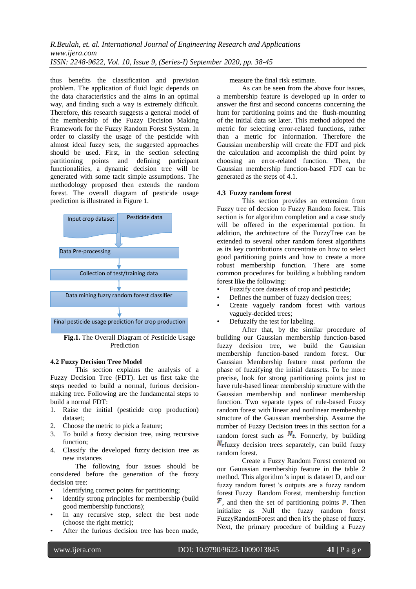thus benefits the classification and prevision problem. The application of fluid logic depends on the data characteristics and the aims in an optimal way, and finding such a way is extremely difficult. Therefore, this research suggests a general model of the membership of the Fuzzy Decision Making Framework for the Fuzzy Random Forest System. In order to classify the usage of the pesticide with almost ideal fuzzy sets, the suggested approaches should be used. First, in the section selecting partitioning points and defining participant functionalities, a dynamic decision tree will be generated with some tacit simple assumptions. The methodology proposed then extends the random forest. The overall diagram of pesticide usage prediction is illustrated in Figure 1.



**Fig.1.** The Overall Diagram of Pesticide Usage Prediction

# **4.2 Fuzzy Decision Tree Model**

This section explains the analysis of a Fuzzy Decision Tree (FDT). Let us first take the steps needed to build a normal, furious decisionmaking tree. Following are the fundamental steps to build a normal FDT:

- 1. Raise the initial (pesticide crop production) dataset;
- 2. Choose the metric to pick a feature;
- 3. To build a fuzzy decision tree, using recursive function;
- 4. Classify the developed fuzzy decision tree as new instances

The following four issues should be considered before the generation of the fuzzy decision tree:

- Identifying correct points for partitioning;
- identify strong principles for membership (build good membership functions);
- In any recursive step, select the best node (choose the right metric);
- After the furious decision tree has been made,

measure the final risk estimate.

As can be seen from the above four issues, a membership feature is developed up in order to answer the first and second concerns concerning the hunt for partitioning points and the flush-mounting of the initial data set later. This method adopted the metric for selecting error-related functions, rather than a metric for information. Therefore the Gaussian membership will create the FDT and pick the calculation and accomplish the third point by choosing an error-related function. Then, the Gaussian membership function-based FDT can be generated as the steps of 4.1.

#### **4.3 Fuzzy random forest**

This section provides an extension from Fuzzy tree of decsion to Fuzzy Random forest. This section is for algorithm completion and a case study will be offered in the experimental portion. In addition, the architecture of the FuzzyTree can be extended to several other random forest algorithms as its key contributions concentrate on how to select good partitioning points and how to create a more robust membership function. There are some common procedures for building a bubbling random forest like the following:

- Fuzzify core datasets of crop and pesticide;
- Defines the number of fuzzy decision trees;
- Create vaguely random forest with various vaguely-decided trees;
- Defuzzify the test for labeling.

After that, by the similar procedure of building our Gaussian membership function-based fuzzy decision tree, we build the Gaussian membership function-based random forest. Our Gaussian Membership feature must perform the phase of fuzzifying the initial datasets. To be more precise, look for strong partitioning points just to have rule-based linear membership structure with the Gaussian membership and nonlinear membership function. Two separate types of rule-based Fuzzy random forest with linear and nonlinear membership structure of the Gaussian membership. Assume the number of Fuzzy Decision trees in this section for a random forest such as  $N_t$ . Formerly, by building  $N_t$ fuzzy decision trees separately, can build fuzzy random forest.

Create a Fuzzy Random Forest centered on our Gauussian membership feature in the table 2 method. This algorithm 's input is dataset D, and our fuzzy random forest 's outputs are a fuzzy random forest Fuzzy Random Forest, membership function  $\mathcal{F}$ , and then the set of partitioning points  $\mathcal{P}$ . Then initialize as Null the fuzzy random forest FuzzyRandomForest and then it's the phase of fuzzy. Next, the primary procedure of building a Fuzzy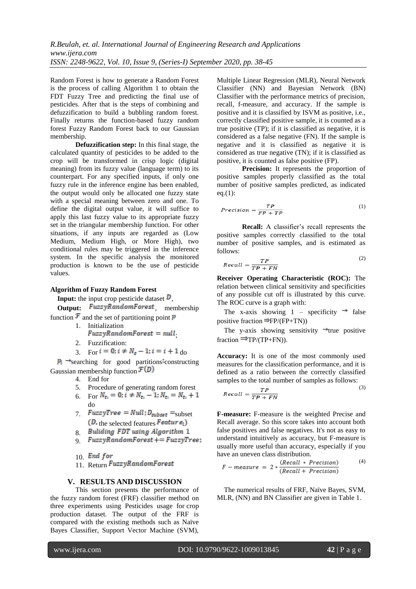Random Forest is how to generate a Random Forest is the process of calling Algorithm 1 to obtain the FDT Fuzzy Tree and predicting the final use of pesticides. After that is the steps of combining and defuzzification to build a bubbling random forest. Finally returns the function-based fuzzy random forest Fuzzy Random Forest back to our Gaussian membership.

**Defuzzification step:** In this final stage, the calculated quantity of pesticides to be added to the crop will be transformed in crisp logic (digital meaning) from its fuzzy value (language term) to its counterpart. For any specified inputs, if only one fuzzy rule in the inference engine has been enabled, the output would only be allocated one fuzzy state with a special meaning between zero and one. To define the digital output value, it will suffice to apply this last fuzzy value to its appropriate fuzzy set in the triangular membership function. For other situations, if any inputs are regarded as (Low Medium, Medium High, or More High), two conditional rules may be triggered in the inference system. In the specific analysis the monitored production is known to be the use of pesticide values.

#### **Algorithm of Fuzzy Random Forest**

**Input:** the input crop pesticide dataset  $\overline{D}$ ,

**Output:** FuzzyRandomForest, membership function  $\mathcal F$  and the set of partitioning point  $\mathcal P$ 

- 1. Initialization
	- $FuzzyRandomForest = null$
- 2. Fuzzification:
- 3. For  $i = 0$ ;  $i \neq N_s 1$ ;  $i = i + 1$  do

 $p_i \rightarrow$ searching for good partitions constructing Gaussian membership function  $\mathcal{F}(D)$ 

- 4. End for
- 5. Procedure of generating random forest
- 6. For  $N_{t_i} = 0$ ;  $i \neq N_{t_i} 1$ ;  $N_{t_i} = N_{t_i} + 1$ do
- 7.  $FuzzyTree = Null; D_{subset} = \text{subset}$  $(D,$  the selected features **Feature**<sub>i</sub>)
- 8. Buliding FDT using Algorithm 1
- 9.  $Fuzzy Random Forest += FuzzyTree;$
- $10.$  End for
- 11. Return FuzzyRandomForest

#### **V. RESULTS AND DISCUSSION**

This section presents the performance of the fuzzy random forest (FRF) classifier method on three experiments using Pesticides usage for crop production dataset. The output of the FRF is compared with the existing methods such as Naïve Bayes Classifier, Support Vector Machine (SVM),

Multiple Linear Regression (MLR), Neural Network Classifier (NN) and Bayesian Network (BN) Classifier with the performance metrics of precision, recall, f-measure, and accuracy. If the sample is positive and it is classified by ISVM as positive, i.e., correctly classified positive sample, it is counted as a true positive (TP); if it is classified as negative, it is considered as a false negative (FN). If the sample is negative and it is classified as negative it is considered as true negative (TN); if it is classified as positive, it is counted as false positive (FP).

**Precision:** It represents the proportion of positive samples properly classified as the total number of positive samples predicted, as indicated eq.(1):

$$
Precision = \frac{TP}{FP + TP}
$$
 (1)

**Recall:** A classifier's recall represents the positive samples correctly classified to the total number of positive samples, and is estimated as follows:

$$
Recall = \frac{TP}{TP + FN}
$$
 (2)

**Receiver Operating Characteristic (ROC):** The relation between clinical sensitivity and specificities of any possible cut off is illustrated by this curve. The ROC curve is a graph with:

The x-axis showing 1 – specificity  $\rightarrow$  false positive fraction  $\Rightarrow$  FP/(FP+TN))

The y-axis showing sensitivity  $\rightarrow$  true positive fraction  $\Rightarrow$  TP/(TP+FN)).

**Accuracy:** It is one of the most commonly used measures for the classification performance, and it is defined as a ratio between the correctly classified samples to the total number of samples as follows:

$$
Recall = \frac{TP}{TP + FN}
$$
 (3)

**F-measure:** F-measure is the weighted Precise and Recall average. So this score takes into account both false positives and false negatives. It's not as easy to understand intuitively as accuracy, but F-measure is usually more useful than accuracy, especially if you have an uneven class distribution.

$$
F-measure = 2 * \frac{(Recall * Precision)}{(Recall + Precision)}
$$
(4)

The numerical results of FRF, Naïve Bayes, SVM, MLR, (NN) and BN Classifier are given in Table 1.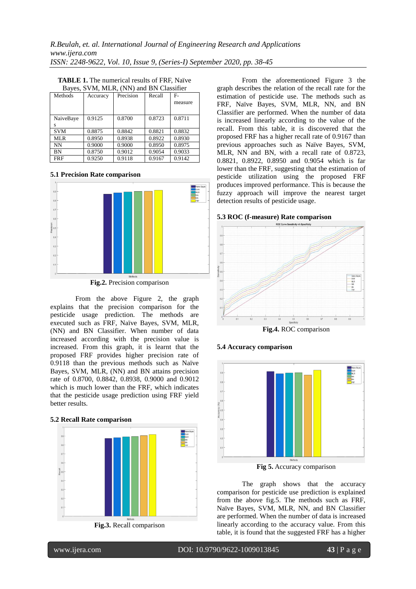| <b>TABLE 1.</b> The numerical results of FRF, Naïve |  |
|-----------------------------------------------------|--|
| Bayes, SVM, MLR, (NN) and BN Classifier             |  |

| Methods    | Accuracy | Precision | Recall | $F -$   |
|------------|----------|-----------|--------|---------|
|            |          |           |        | measure |
|            |          |           |        |         |
| NaiveBaye  | 0.9125   | 0.8700    | 0.8723 | 0.8711  |
| S          |          |           |        |         |
| <b>SVM</b> | 0.8875   | 0.8842    | 0.8821 | 0.8832  |
| MLR        | 0.8950   | 0.8938    | 0.8922 | 0.8930  |
| NN         | 0.9000   | 0.9000    | 0.8950 | 0.8975  |
| BN         | 0.8750   | 0.9012    | 0.9054 | 0.9033  |
| <b>FRF</b> | 0.9250   | 0.9118    | 0.9167 | 0.9142  |

#### **5.1 Precision Rate comparison**



**Fig.2.** Precision comparison

From the above Figure 2, the graph explains that the precision comparison for the pesticide usage prediction. The methods are executed such as FRF, Naïve Bayes, SVM, MLR, (NN) and BN Classifier. When number of data increased according with the precision value is increased. From this graph, it is learnt that the proposed FRF provides higher precision rate of 0.9118 than the previous methods such as Naïve Bayes, SVM, MLR, (NN) and BN attains precision rate of 0.8700, 0.8842, 0.8938, 0.9000 and 0.9012 which is much lower than the FRF, which indicates that the pesticide usage prediction using FRF yield better results.

#### **5.2 Recall Rate comparison**



From the aforementioned Figure 3 the graph describes the relation of the recall rate for the estimation of pesticide use. The methods such as FRF, Naïve Bayes, SVM, MLR, NN, and BN Classifier are performed. When the number of data is increased linearly according to the value of the recall. From this table, it is discovered that the proposed FRF has a higher recall rate of 0.9167 than previous approaches such as Naïve Bayes, SVM, MLR, NN and BN, with a recall rate of 0.8723, 0.8821, 0.8922, 0.8950 and 0.9054 which is far lower than the FRF, suggesting that the estimation of pesticide utilization using the proposed FRF produces improved performance. This is because the fuzzy approach will improve the nearest target

#### **5.3 ROC (f-measure) Rate comparison**

detection results of pesticide usage.







**Fig 5.** Accuracy comparison

The graph shows that the accuracy comparison for pesticide use prediction is explained from the above fig.5. The methods such as FRF, Naïve Bayes, SVM, MLR, NN, and BN Classifier are performed. When the number of data is increased linearly according to the accuracy value. From this table, it is found that the suggested FRF has a higher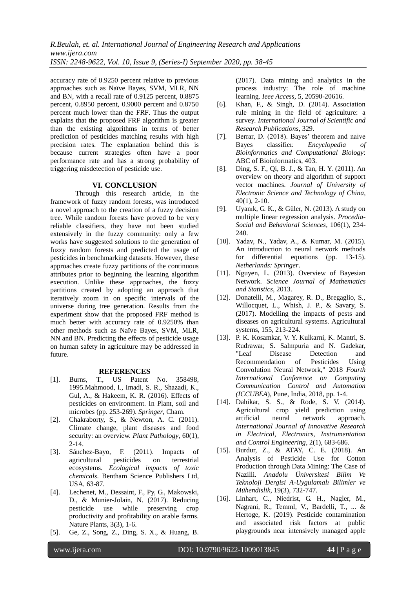*R.Beulah, et. al. International Journal of Engineering Research and Applications www.ijera.com ISSN: 2248-9622, Vol. 10, Issue 9, (Series-I) September 2020, pp. 38-45*

accuracy rate of 0.9250 percent relative to previous approaches such as Naïve Bayes, SVM, MLR, NN and BN, with a recall rate of 0.9125 percent, 0.8875 percent, 0.8950 percent, 0.9000 percent and 0.8750 percent much lower than the FRF. Thus the output explains that the proposed FRF algorithm is greater than the existing algorithms in terms of better prediction of pesticides matching results with high precision rates. The explanation behind this is because current strategies often have a poor performance rate and has a strong probability of triggering misdetection of pesticide use.

## **VI. CONCLUSION**

Through this research article, in the framework of fuzzy random forests, was introduced a novel approach to the creation of a fuzzy decision tree. While random forests have proved to be very reliable classifiers, they have not been studied extensively in the fuzzy community: only a few works have suggested solutions to the generation of fuzzy random forests and predicted the usage of pesticides in benchmarking datasets. However, these approaches create fuzzy partitions of the continuous attributes prior to beginning the learning algorithm execution. Unlike these approaches, the fuzzy partitions created by adopting an approach that iteratively zoom in on specific intervals of the universe during tree generation. Results from the experiment show that the proposed FRF method is much better with accuracy rate of 0.9250% than other methods such as Naïve Bayes, SVM, MLR, NN and BN. Predicting the effects of pesticide usage on human safety in agriculture may be addressed in future.

#### **REFERENCES**

- [1]. Burns, T., US Patent No. 358498, 1995.Mahmood, I., Imadi, S. R., Shazadi, K., Gul, A., & Hakeem, K. R. (2016). Effects of pesticides on environment. In Plant, soil and microbes (pp. 253-269). *Springer*, Cham.
- [2]. Chakraborty, S., & Newton, A. C. (2011). Climate change, plant diseases and food security: an overview. *Plant Pathology*, 60(1), 2-14.
- [3]. Sánchez-Bayo, F. (2011). Impacts of agricultural pesticides on terrestrial ecosystems. *Ecological impacts of toxic chemicals*. Bentham Science Publishers Ltd, USA, 63-87.
- [4]. Lechenet, M., Dessaint, F., Py, G., Makowski, D., & Munier-Jolain, N. (2017). Reducing pesticide use while preserving crop productivity and profitability on arable farms. Nature Plants, 3(3), 1-6.
- [5]. Ge, Z., Song, Z., Ding, S. X., & Huang, B.

(2017). Data mining and analytics in the process industry: The role of machine learning. *Ieee Access*, 5, 20590-20616.

- [6]. Khan, F., & Singh, D. (2014). Association rule mining in the field of agriculture: a survey*. International Journal of Scientific and Research Publications*, 329.
- [7]. Berrar, D. (2018). Bayes' theorem and naive Bayes classifier. *Encyclopedia of Bioinformatics and Computational Biology*: ABC of Bioinformatics, 403.
- [8]. Ding, S. F., Qi, B. J., & Tan, H. Y. (2011). An overview on theory and algorithm of support vector machines. *Journal of University of Electronic Science and Technology of China*, 40(1), 2-10.
- [9]. Uyanık, G. K., & Güler, N. (2013). A study on multiple linear regression analysis. *Procedia-Social and Behavioral Sciences*, 106(1), 234- 240.
- [10]. Yadav, N., Yadav, A., & Kumar, M. (2015). An introduction to neural network methods for differential equations (pp. 13-15). *Netherlands: Springer*.
- [11]. Nguyen, L. (2013). Overview of Bayesian Network. *Science Journal of Mathematics and Statistics*, 2013.
- [12]. Donatelli, M., Magarey, R. D., Bregaglio, S., Willocquet, L., Whish, J. P., & Savary, S. (2017). Modelling the impacts of pests and diseases on agricultural systems. Agricultural systems, 155, 213-224.
- [13]. P. K. Kosamkar, V. Y. Kulkarni, K. Mantri, S. Rudrawar, S. Salmpuria and N. Gadekar, "Leaf Disease Detection and Recommendation of Pesticides Using Convolution Neural Network," 2018 *Fourth International Conference on Computing Communication Control and Automation (ICCUBEA*), Pune, India, 2018, pp. 1-4.
- [14]. Dahikar, S. S., & Rode, S. V. (2014). Agricultural crop yield prediction using artificial neural network approach. *International Journal of Innovative Research in Electrical, Electronics, Instrumentation and Control Engineering*, 2(1), 683-686.
- [15]. Burdur, Z., & ATAY, C. E. (2018). An Analysis of Pesticide Use for Cotton Production through Data Mining: The Case of Nazilli. *Anadolu Üniversitesi Bilim Ve Teknoloji Dergisi A-Uygulamalı Bilimler ve Mühendislik*, 19(3), 732-747.
- [16]. Linhart, C., Niedrist, G. H., Nagler, M., Nagrani, R., Temml, V., Bardelli, T., ... & Hertoge, K. (2019). Pesticide contamination and associated risk factors at public playgrounds near intensively managed apple